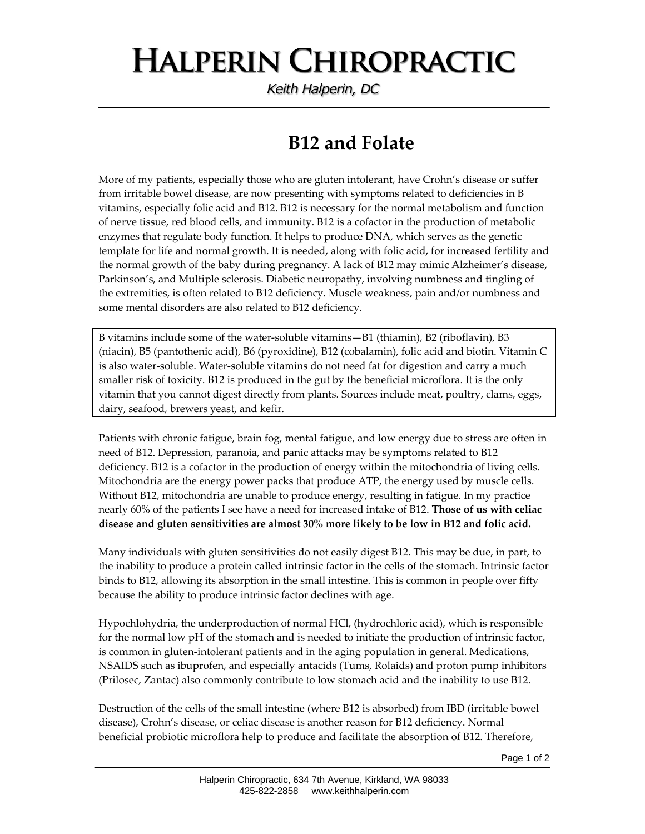## **HALPERIN CHIROPRACTIC**

Keith Halperin, DC

## **B12 and Folate**

More of my patients, especially those who are gluten intolerant, have Crohn's disease or suffer from irritable bowel disease, are now presenting with symptoms related to deficiencies in B vitamins, especially folic acid and B12. B12 is necessary for the normal metabolism and function of nerve tissue, red blood cells, and immunity. B12 is a cofactor in the production of metabolic enzymes that regulate body function. It helps to produce DNA, which serves as the genetic template for life and normal growth. It is needed, along with folic acid, for increased fertility and the normal growth of the baby during pregnancy. A lack of B12 may mimic Alzheimer's disease, Parkinson's, and Multiple sclerosis. Diabetic neuropathy, involving numbness and tingling of the extremities, is often related to B12 deficiency. Muscle weakness, pain and/or numbness and some mental disorders are also related to B12 deficiency.

B vitamins include some of the water‐soluble vitamins—B1 (thiamin), B2 (riboflavin), B3 (niacin), B5 (pantothenic acid), B6 (pyroxidine), B12 (cobalamin), folic acid and biotin. Vitamin C is also water‐soluble. Water‐soluble vitamins do not need fat for digestion and carry a much smaller risk of toxicity. B12 is produced in the gut by the beneficial microflora. It is the only vitamin that you cannot digest directly from plants. Sources include meat, poultry, clams, eggs, dairy, seafood, brewers yeast, and kefir.

Patients with chronic fatigue, brain fog, mental fatigue, and low energy due to stress are often in need of B12. Depression, paranoia, and panic attacks may be symptoms related to B12 deficiency. B12 is a cofactor in the production of energy within the mitochondria of living cells. Mitochondria are the energy power packs that produce ATP, the energy used by muscle cells. Without B12, mitochondria are unable to produce energy, resulting in fatigue. In my practice nearly 60% of the patients I see have a need for increased intake of B12. **Those of us with celiac disease and gluten sensitivities are almost 30% more likely to be low in B12 and folic acid.** 

Many individuals with gluten sensitivities do not easily digest B12. This may be due, in part, to the inability to produce a protein called intrinsic factor in the cells of the stomach. Intrinsic factor binds to B12, allowing its absorption in the small intestine. This is common in people over fifty because the ability to produce intrinsic factor declines with age.

Hypochlohydria, the underproduction of normal HCl, (hydrochloric acid), which is responsible for the normal low pH of the stomach and is needed to initiate the production of intrinsic factor, is common in gluten-intolerant patients and in the aging population in general. Medications, NSAIDS such as ibuprofen, and especially antacids (Tums, Rolaids) and proton pump inhibitors (Prilosec, Zantac) also commonly contribute to low stomach acid and the inability to use B12.

Destruction of the cells of the small intestine (where B12 is absorbed) from IBD (irritable bowel disease), Crohn's disease, or celiac disease is another reason for B12 deficiency. Normal beneficial probiotic microflora help to produce and facilitate the absorption of B12. Therefore,

Page 1 of 2